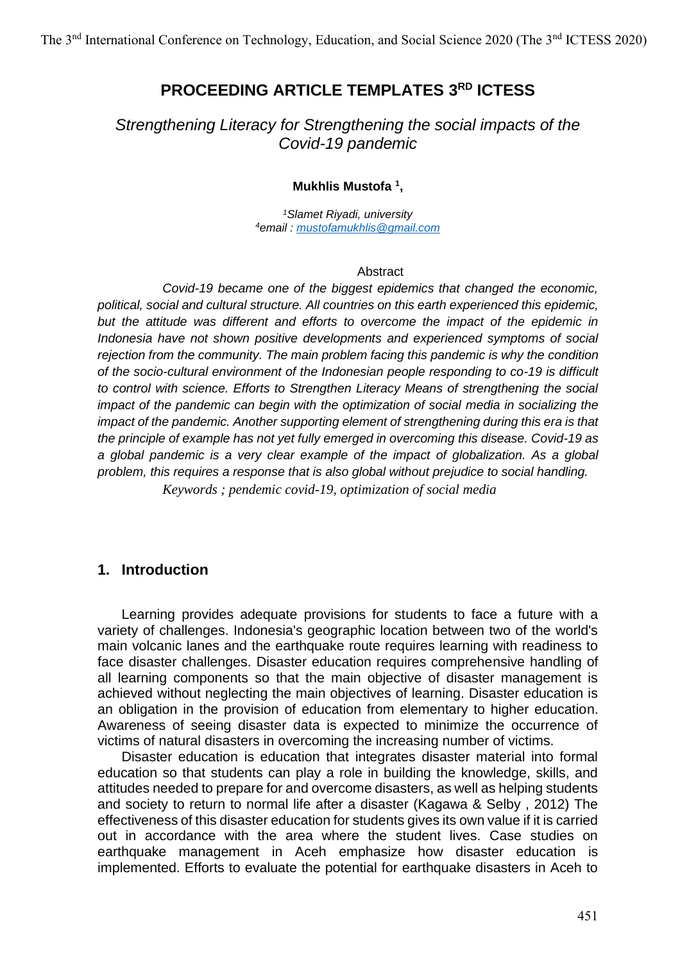# **PROCEEDING ARTICLE TEMPLATES 3 RD ICTESS**

*Strengthening Literacy for Strengthening the social impacts of the Covid-19 pandemic*

#### **Mukhlis Mustofa <sup>1</sup> ,**

*<sup>1</sup>Slamet Riyadi, university <sup>4</sup>email : [mustofamukhlis@gmail.com](mailto:mustofamukhlis@gmail.com)*

#### **Abstract**

*Covid-19 became one of the biggest epidemics that changed the economic, political, social and cultural structure. All countries on this earth experienced this epidemic, but the attitude was different and efforts to overcome the impact of the epidemic in Indonesia have not shown positive developments and experienced symptoms of social rejection from the community. The main problem facing this pandemic is why the condition of the socio-cultural environment of the Indonesian people responding to co-19 is difficult to control with science. Efforts to Strengthen Literacy Means of strengthening the social impact of the pandemic can begin with the optimization of social media in socializing the impact of the pandemic. Another supporting element of strengthening during this era is that the principle of example has not yet fully emerged in overcoming this disease. Covid-19 as a global pandemic is a very clear example of the impact of globalization. As a global problem, this requires a response that is also global without prejudice to social handling.*

*Keywords ; pendemic covid-19, optimization of social media*

### **1. Introduction**

Learning provides adequate provisions for students to face a future with a variety of challenges. Indonesia's geographic location between two of the world's main volcanic lanes and the earthquake route requires learning with readiness to face disaster challenges. Disaster education requires comprehensive handling of all learning components so that the main objective of disaster management is achieved without neglecting the main objectives of learning. Disaster education is an obligation in the provision of education from elementary to higher education. Awareness of seeing disaster data is expected to minimize the occurrence of victims of natural disasters in overcoming the increasing number of victims.

Disaster education is education that integrates disaster material into formal education so that students can play a role in building the knowledge, skills, and attitudes needed to prepare for and overcome disasters, as well as helping students and society to return to normal life after a disaster (Kagawa & Selby , 2012) The effectiveness of this disaster education for students gives its own value if it is carried out in accordance with the area where the student lives. Case studies on earthquake management in Aceh emphasize how disaster education is implemented. Efforts to evaluate the potential for earthquake disasters in Aceh to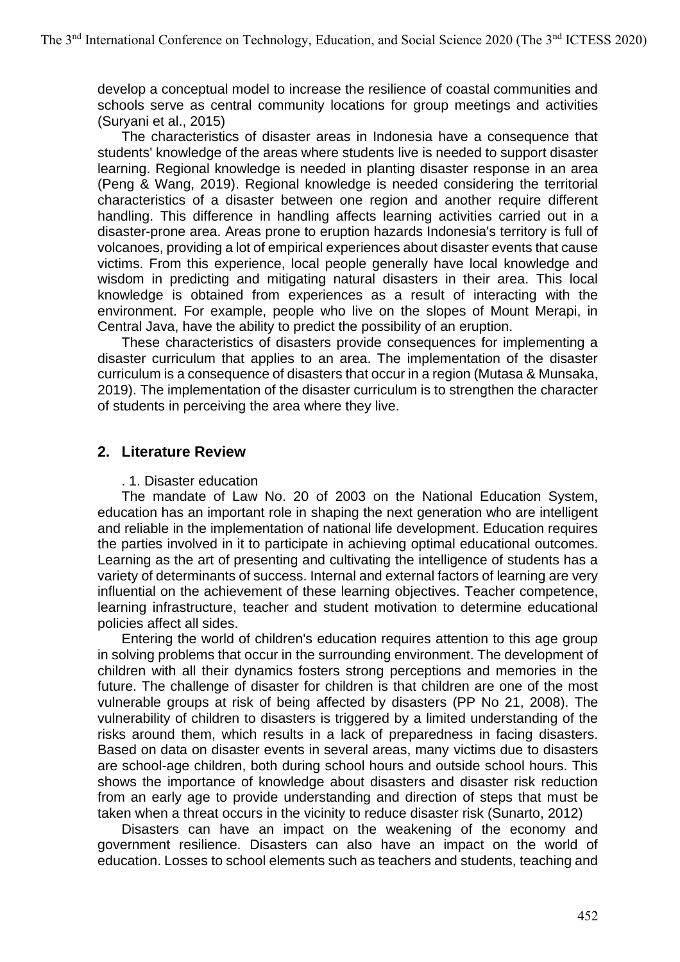develop a conceptual model to increase the resilience of coastal communities and schools serve as central community locations for group meetings and activities (Suryani et al., 2015)

The characteristics of disaster areas in Indonesia have a consequence that students' knowledge of the areas where students live is needed to support disaster learning. Regional knowledge is needed in planting disaster response in an area (Peng & Wang, 2019). Regional knowledge is needed considering the territorial characteristics of a disaster between one region and another require different handling. This difference in handling affects learning activities carried out in a disaster-prone area. Areas prone to eruption hazards Indonesia's territory is full of volcanoes, providing a lot of empirical experiences about disaster events that cause victims. From this experience, local people generally have local knowledge and wisdom in predicting and mitigating natural disasters in their area. This local knowledge is obtained from experiences as a result of interacting with the environment. For example, people who live on the slopes of Mount Merapi, in Central Java, have the ability to predict the possibility of an eruption.

These characteristics of disasters provide consequences for implementing a disaster curriculum that applies to an area. The implementation of the disaster curriculum is a consequence of disasters that occur in a region (Mutasa & Munsaka, 2019). The implementation of the disaster curriculum is to strengthen the character of students in perceiving the area where they live.

### **2. Literature Review**

#### . 1. Disaster education

The mandate of Law No. 20 of 2003 on the National Education System, education has an important role in shaping the next generation who are intelligent and reliable in the implementation of national life development. Education requires the parties involved in it to participate in achieving optimal educational outcomes. Learning as the art of presenting and cultivating the intelligence of students has a variety of determinants of success. Internal and external factors of learning are very influential on the achievement of these learning objectives. Teacher competence, learning infrastructure, teacher and student motivation to determine educational policies affect all sides.

Entering the world of children's education requires attention to this age group in solving problems that occur in the surrounding environment. The development of children with all their dynamics fosters strong perceptions and memories in the future. The challenge of disaster for children is that children are one of the most vulnerable groups at risk of being affected by disasters (PP No 21, 2008). The vulnerability of children to disasters is triggered by a limited understanding of the risks around them, which results in a lack of preparedness in facing disasters. Based on data on disaster events in several areas, many victims due to disasters are school-age children, both during school hours and outside school hours. This shows the importance of knowledge about disasters and disaster risk reduction from an early age to provide understanding and direction of steps that must be taken when a threat occurs in the vicinity to reduce disaster risk (Sunarto, 2012)

Disasters can have an impact on the weakening of the economy and government resilience. Disasters can also have an impact on the world of education. Losses to school elements such as teachers and students, teaching and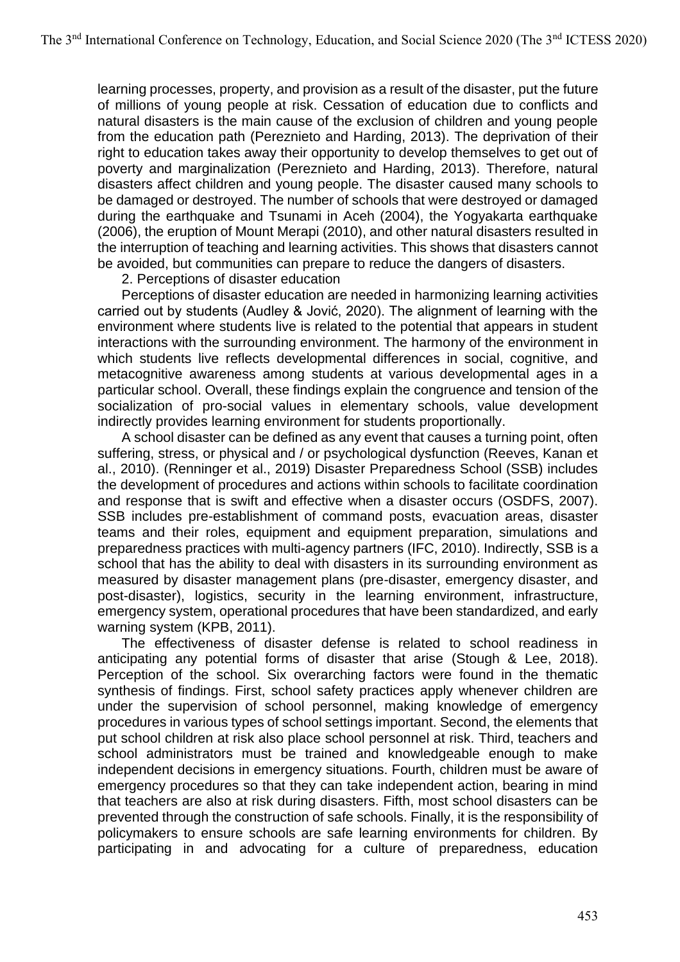learning processes, property, and provision as a result of the disaster, put the future of millions of young people at risk. Cessation of education due to conflicts and natural disasters is the main cause of the exclusion of children and young people from the education path (Pereznieto and Harding, 2013). The deprivation of their right to education takes away their opportunity to develop themselves to get out of poverty and marginalization (Pereznieto and Harding, 2013). Therefore, natural disasters affect children and young people. The disaster caused many schools to be damaged or destroyed. The number of schools that were destroyed or damaged during the earthquake and Tsunami in Aceh (2004), the Yogyakarta earthquake (2006), the eruption of Mount Merapi (2010), and other natural disasters resulted in the interruption of teaching and learning activities. This shows that disasters cannot be avoided, but communities can prepare to reduce the dangers of disasters.

2. Perceptions of disaster education

Perceptions of disaster education are needed in harmonizing learning activities carried out by students (Audley & Jović, 2020). The alignment of learning with the environment where students live is related to the potential that appears in student interactions with the surrounding environment. The harmony of the environment in which students live reflects developmental differences in social, cognitive, and metacognitive awareness among students at various developmental ages in a particular school. Overall, these findings explain the congruence and tension of the socialization of pro-social values in elementary schools, value development indirectly provides learning environment for students proportionally.

A school disaster can be defined as any event that causes a turning point, often suffering, stress, or physical and / or psychological dysfunction (Reeves, Kanan et al., 2010). (Renninger et al., 2019) Disaster Preparedness School (SSB) includes the development of procedures and actions within schools to facilitate coordination and response that is swift and effective when a disaster occurs (OSDFS, 2007). SSB includes pre-establishment of command posts, evacuation areas, disaster teams and their roles, equipment and equipment preparation, simulations and preparedness practices with multi-agency partners (IFC, 2010). Indirectly, SSB is a school that has the ability to deal with disasters in its surrounding environment as measured by disaster management plans (pre-disaster, emergency disaster, and post-disaster), logistics, security in the learning environment, infrastructure, emergency system, operational procedures that have been standardized, and early warning system (KPB, 2011).

The effectiveness of disaster defense is related to school readiness in anticipating any potential forms of disaster that arise (Stough & Lee, 2018). Perception of the school. Six overarching factors were found in the thematic synthesis of findings. First, school safety practices apply whenever children are under the supervision of school personnel, making knowledge of emergency procedures in various types of school settings important. Second, the elements that put school children at risk also place school personnel at risk. Third, teachers and school administrators must be trained and knowledgeable enough to make independent decisions in emergency situations. Fourth, children must be aware of emergency procedures so that they can take independent action, bearing in mind that teachers are also at risk during disasters. Fifth, most school disasters can be prevented through the construction of safe schools. Finally, it is the responsibility of policymakers to ensure schools are safe learning environments for children. By participating in and advocating for a culture of preparedness, education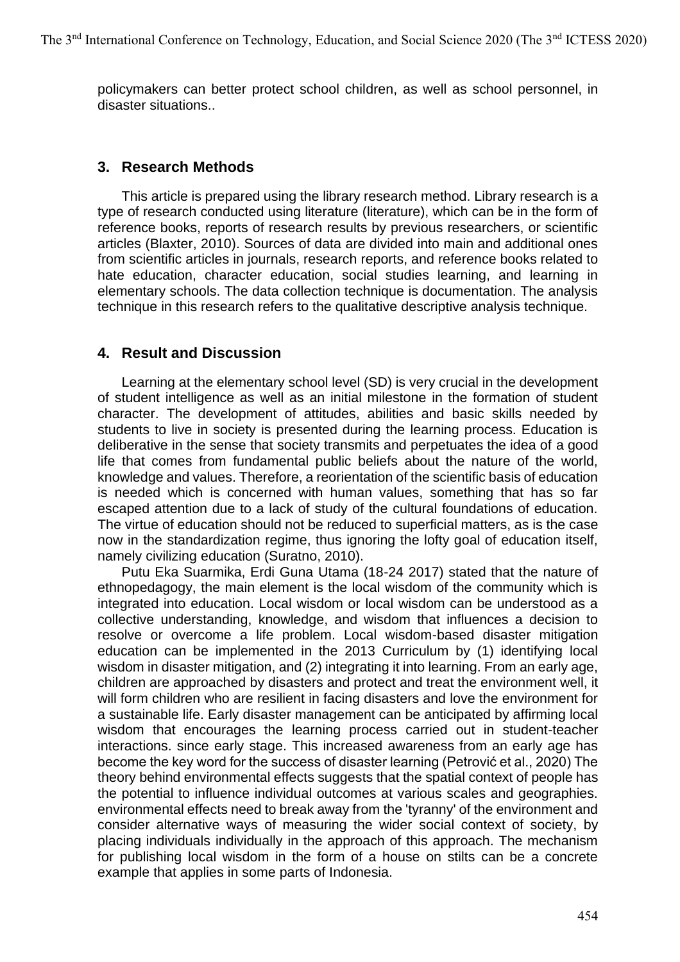policymakers can better protect school children, as well as school personnel, in disaster situations..

### **3. Research Methods**

This article is prepared using the library research method. Library research is a type of research conducted using literature (literature), which can be in the form of reference books, reports of research results by previous researchers, or scientific articles (Blaxter, 2010). Sources of data are divided into main and additional ones from scientific articles in journals, research reports, and reference books related to hate education, character education, social studies learning, and learning in elementary schools. The data collection technique is documentation. The analysis technique in this research refers to the qualitative descriptive analysis technique.

### **4. Result and Discussion**

Learning at the elementary school level (SD) is very crucial in the development of student intelligence as well as an initial milestone in the formation of student character. The development of attitudes, abilities and basic skills needed by students to live in society is presented during the learning process. Education is deliberative in the sense that society transmits and perpetuates the idea of a good life that comes from fundamental public beliefs about the nature of the world, knowledge and values. Therefore, a reorientation of the scientific basis of education is needed which is concerned with human values, something that has so far escaped attention due to a lack of study of the cultural foundations of education. The virtue of education should not be reduced to superficial matters, as is the case now in the standardization regime, thus ignoring the lofty goal of education itself, namely civilizing education (Suratno, 2010).

Putu Eka Suarmika, Erdi Guna Utama (18-24 2017) stated that the nature of ethnopedagogy, the main element is the local wisdom of the community which is integrated into education. Local wisdom or local wisdom can be understood as a collective understanding, knowledge, and wisdom that influences a decision to resolve or overcome a life problem. Local wisdom-based disaster mitigation education can be implemented in the 2013 Curriculum by (1) identifying local wisdom in disaster mitigation, and (2) integrating it into learning. From an early age, children are approached by disasters and protect and treat the environment well, it will form children who are resilient in facing disasters and love the environment for a sustainable life. Early disaster management can be anticipated by affirming local wisdom that encourages the learning process carried out in student-teacher interactions. since early stage. This increased awareness from an early age has become the key word for the success of disaster learning (Petrović et al., 2020) The theory behind environmental effects suggests that the spatial context of people has the potential to influence individual outcomes at various scales and geographies. environmental effects need to break away from the 'tyranny' of the environment and consider alternative ways of measuring the wider social context of society, by placing individuals individually in the approach of this approach. The mechanism for publishing local wisdom in the form of a house on stilts can be a concrete example that applies in some parts of Indonesia.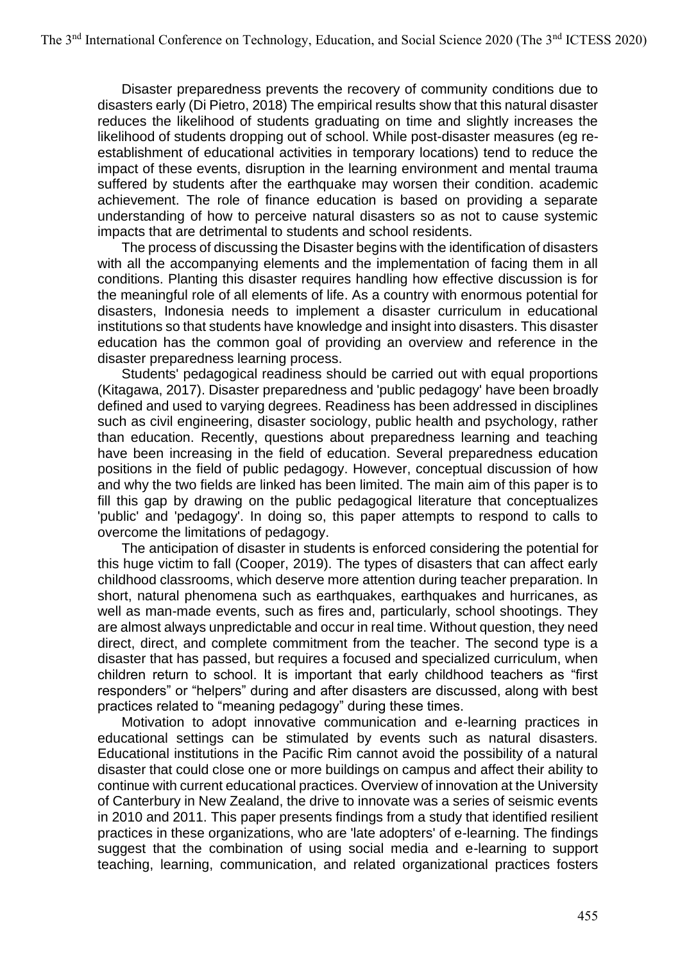Disaster preparedness prevents the recovery of community conditions due to disasters early (Di Pietro, 2018) The empirical results show that this natural disaster reduces the likelihood of students graduating on time and slightly increases the likelihood of students dropping out of school. While post-disaster measures (eg reestablishment of educational activities in temporary locations) tend to reduce the impact of these events, disruption in the learning environment and mental trauma suffered by students after the earthquake may worsen their condition. academic achievement. The role of finance education is based on providing a separate understanding of how to perceive natural disasters so as not to cause systemic impacts that are detrimental to students and school residents.

The process of discussing the Disaster begins with the identification of disasters with all the accompanying elements and the implementation of facing them in all conditions. Planting this disaster requires handling how effective discussion is for the meaningful role of all elements of life. As a country with enormous potential for disasters, Indonesia needs to implement a disaster curriculum in educational institutions so that students have knowledge and insight into disasters. This disaster education has the common goal of providing an overview and reference in the disaster preparedness learning process.

Students' pedagogical readiness should be carried out with equal proportions (Kitagawa, 2017). Disaster preparedness and 'public pedagogy' have been broadly defined and used to varying degrees. Readiness has been addressed in disciplines such as civil engineering, disaster sociology, public health and psychology, rather than education. Recently, questions about preparedness learning and teaching have been increasing in the field of education. Several preparedness education positions in the field of public pedagogy. However, conceptual discussion of how and why the two fields are linked has been limited. The main aim of this paper is to fill this gap by drawing on the public pedagogical literature that conceptualizes 'public' and 'pedagogy'. In doing so, this paper attempts to respond to calls to overcome the limitations of pedagogy.

The anticipation of disaster in students is enforced considering the potential for this huge victim to fall (Cooper, 2019). The types of disasters that can affect early childhood classrooms, which deserve more attention during teacher preparation. In short, natural phenomena such as earthquakes, earthquakes and hurricanes, as well as man-made events, such as fires and, particularly, school shootings. They are almost always unpredictable and occur in real time. Without question, they need direct, direct, and complete commitment from the teacher. The second type is a disaster that has passed, but requires a focused and specialized curriculum, when children return to school. It is important that early childhood teachers as "first responders" or "helpers" during and after disasters are discussed, along with best practices related to "meaning pedagogy" during these times.

Motivation to adopt innovative communication and e-learning practices in educational settings can be stimulated by events such as natural disasters. Educational institutions in the Pacific Rim cannot avoid the possibility of a natural disaster that could close one or more buildings on campus and affect their ability to continue with current educational practices. Overview of innovation at the University of Canterbury in New Zealand, the drive to innovate was a series of seismic events in 2010 and 2011. This paper presents findings from a study that identified resilient practices in these organizations, who are 'late adopters' of e-learning. The findings suggest that the combination of using social media and e-learning to support teaching, learning, communication, and related organizational practices fosters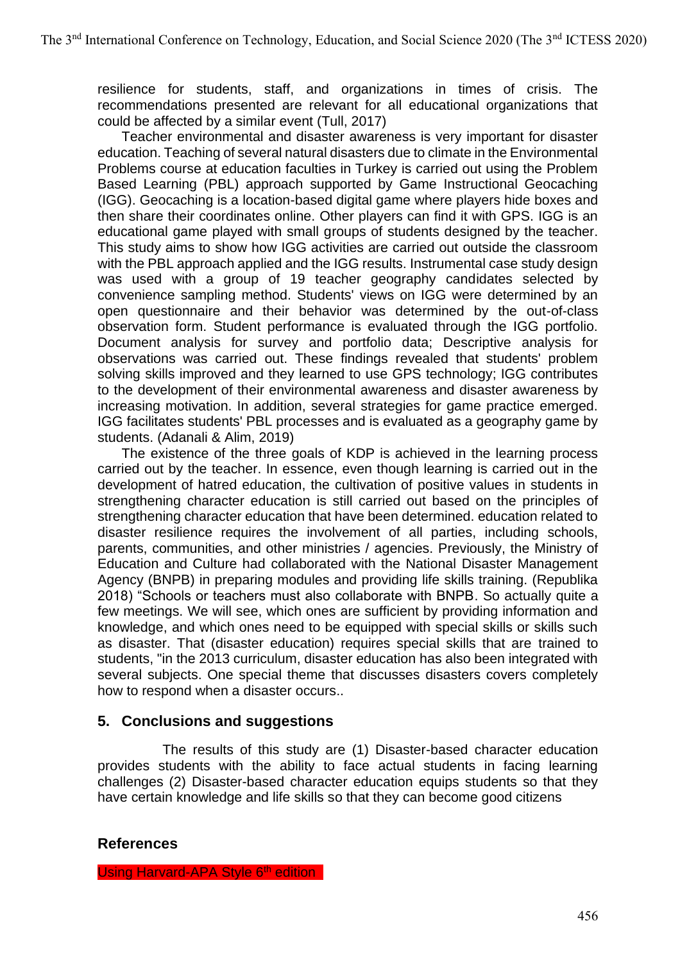resilience for students, staff, and organizations in times of crisis. The recommendations presented are relevant for all educational organizations that could be affected by a similar event (Tull, 2017)

Teacher environmental and disaster awareness is very important for disaster education. Teaching of several natural disasters due to climate in the Environmental Problems course at education faculties in Turkey is carried out using the Problem Based Learning (PBL) approach supported by Game Instructional Geocaching (IGG). Geocaching is a location-based digital game where players hide boxes and then share their coordinates online. Other players can find it with GPS. IGG is an educational game played with small groups of students designed by the teacher. This study aims to show how IGG activities are carried out outside the classroom with the PBL approach applied and the IGG results. Instrumental case study design was used with a group of 19 teacher geography candidates selected by convenience sampling method. Students' views on IGG were determined by an open questionnaire and their behavior was determined by the out-of-class observation form. Student performance is evaluated through the IGG portfolio. Document analysis for survey and portfolio data; Descriptive analysis for observations was carried out. These findings revealed that students' problem solving skills improved and they learned to use GPS technology; IGG contributes to the development of their environmental awareness and disaster awareness by increasing motivation. In addition, several strategies for game practice emerged. IGG facilitates students' PBL processes and is evaluated as a geography game by students. (Adanali & Alim, 2019)

The existence of the three goals of KDP is achieved in the learning process carried out by the teacher. In essence, even though learning is carried out in the development of hatred education, the cultivation of positive values in students in strengthening character education is still carried out based on the principles of strengthening character education that have been determined. education related to disaster resilience requires the involvement of all parties, including schools, parents, communities, and other ministries / agencies. Previously, the Ministry of Education and Culture had collaborated with the National Disaster Management Agency (BNPB) in preparing modules and providing life skills training. (Republika 2018) "Schools or teachers must also collaborate with BNPB. So actually quite a few meetings. We will see, which ones are sufficient by providing information and knowledge, and which ones need to be equipped with special skills or skills such as disaster. That (disaster education) requires special skills that are trained to students, "in the 2013 curriculum, disaster education has also been integrated with several subjects. One special theme that discusses disasters covers completely how to respond when a disaster occurs..

## **5. Conclusions and suggestions**

The results of this study are (1) Disaster-based character education provides students with the ability to face actual students in facing learning challenges (2) Disaster-based character education equips students so that they have certain knowledge and life skills so that they can become good citizens

### **References**

Using Harvard-APA Style 6<sup>th</sup> edition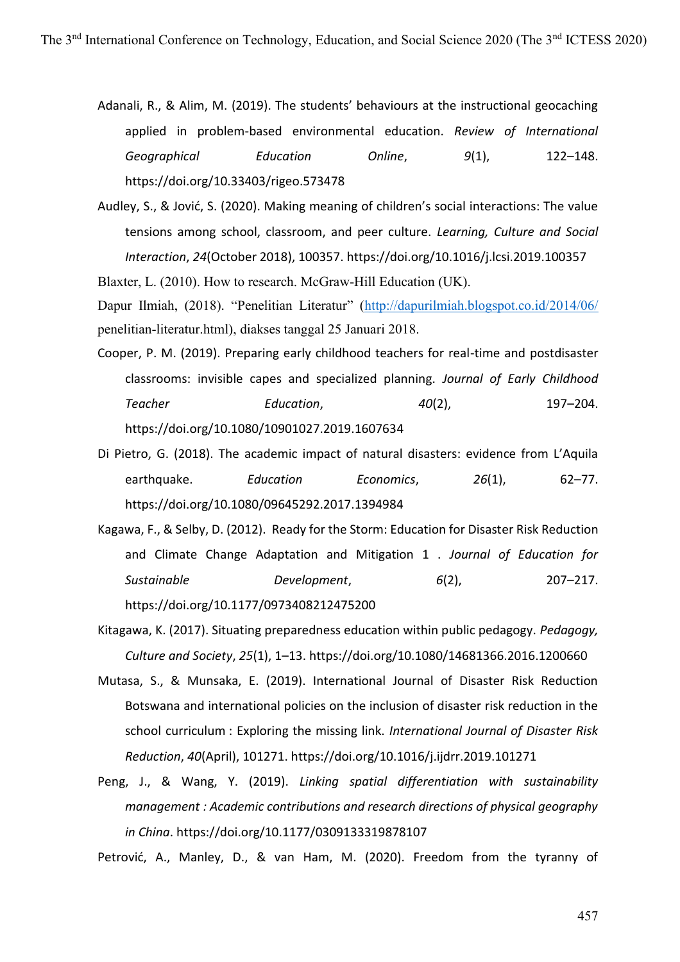Adanali, R., & Alim, M. (2019). The students' behaviours at the instructional geocaching applied in problem-based environmental education. *Review of International Geographical Education Online*, *9*(1), 122–148. https://doi.org/10.33403/rigeo.573478

Audley, S., & Jović, S. (2020). Making meaning of children's social interactions: The value tensions among school, classroom, and peer culture. *Learning, Culture and Social Interaction*, *24*(October 2018), 100357. https://doi.org/10.1016/j.lcsi.2019.100357

Blaxter, L. (2010). How to research. McGraw-Hill Education (UK).

Dapur Ilmiah, (2018). "Penelitian Literatur" (<http://dapurilmiah.blogspot.co.id/2014/06/> penelitian-literatur.html), diakses tanggal 25 Januari 2018.

- Cooper, P. M. (2019). Preparing early childhood teachers for real-time and postdisaster classrooms: invisible capes and specialized planning. *Journal of Early Childhood Teacher Education*, *40*(2), 197–204. https://doi.org/10.1080/10901027.2019.1607634
- Di Pietro, G. (2018). The academic impact of natural disasters: evidence from L'Aquila earthquake. *Education Economics*, *26*(1), 62–77. https://doi.org/10.1080/09645292.2017.1394984
- Kagawa, F., & Selby, D. (2012). Ready for the Storm: Education for Disaster Risk Reduction and Climate Change Adaptation and Mitigation 1 . *Journal of Education for Sustainable Development*, *6*(2), 207–217. https://doi.org/10.1177/0973408212475200
- Kitagawa, K. (2017). Situating preparedness education within public pedagogy. *Pedagogy, Culture and Society*, *25*(1), 1–13. https://doi.org/10.1080/14681366.2016.1200660
- Mutasa, S., & Munsaka, E. (2019). International Journal of Disaster Risk Reduction Botswana and international policies on the inclusion of disaster risk reduction in the school curriculum : Exploring the missing link. *International Journal of Disaster Risk Reduction*, *40*(April), 101271. https://doi.org/10.1016/j.ijdrr.2019.101271
- Peng, J., & Wang, Y. (2019). *Linking spatial differentiation with sustainability management : Academic contributions and research directions of physical geography in China*. https://doi.org/10.1177/0309133319878107

Petrović, A., Manley, D., & van Ham, M. (2020). Freedom from the tyranny of